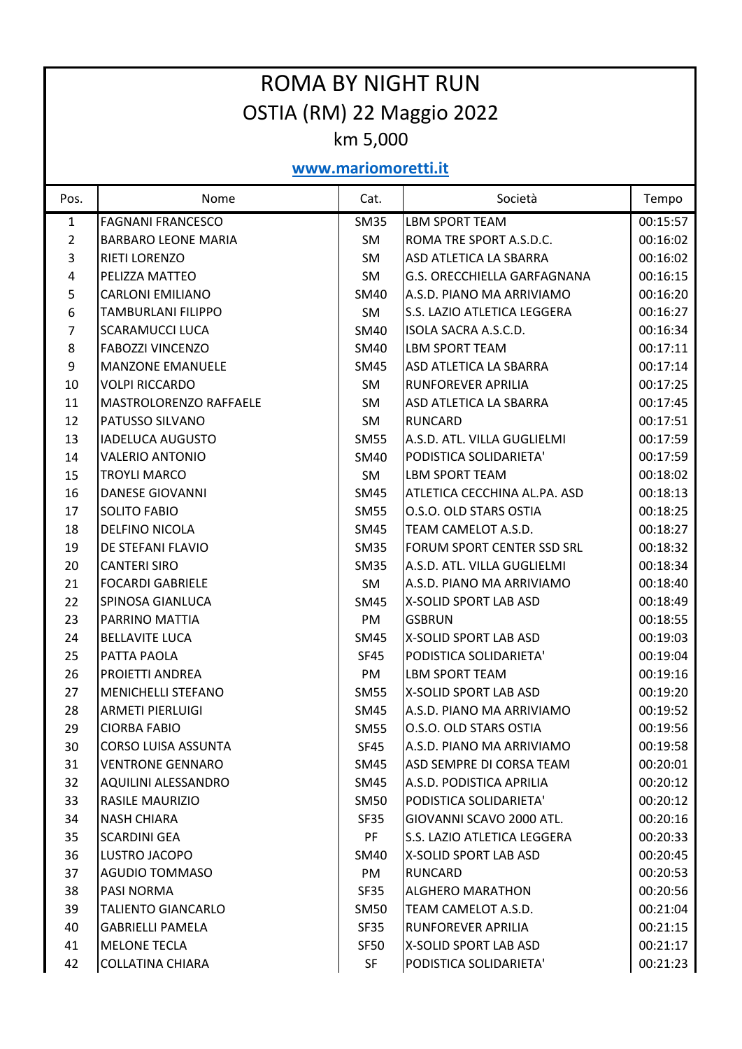| <b>ROMA BY NIGHT RUN</b>  |                               |             |                                    |          |  |  |  |  |
|---------------------------|-------------------------------|-------------|------------------------------------|----------|--|--|--|--|
| OSTIA (RM) 22 Maggio 2022 |                               |             |                                    |          |  |  |  |  |
| km 5,000                  |                               |             |                                    |          |  |  |  |  |
| www.mariomoretti.it       |                               |             |                                    |          |  |  |  |  |
| Pos.                      | Nome                          | Cat.        | Società                            | Tempo    |  |  |  |  |
| $\mathbf{1}$              | <b>FAGNANI FRANCESCO</b>      | <b>SM35</b> | <b>LBM SPORT TEAM</b>              | 00:15:57 |  |  |  |  |
| 2                         | <b>BARBARO LEONE MARIA</b>    | <b>SM</b>   | ROMA TRE SPORT A.S.D.C.            | 00:16:02 |  |  |  |  |
| 3                         | <b>RIETI LORENZO</b>          | <b>SM</b>   | <b>ASD ATLETICA LA SBARRA</b>      | 00:16:02 |  |  |  |  |
| 4                         | PELIZZA MATTEO                | SM          | <b>G.S. ORECCHIELLA GARFAGNANA</b> | 00:16:15 |  |  |  |  |
| 5                         | <b>CARLONI EMILIANO</b>       | <b>SM40</b> | A.S.D. PIANO MA ARRIVIAMO          | 00:16:20 |  |  |  |  |
| 6                         | <b>TAMBURLANI FILIPPO</b>     | SM          | S.S. LAZIO ATLETICA LEGGERA        | 00:16:27 |  |  |  |  |
| 7                         | <b>SCARAMUCCI LUCA</b>        | <b>SM40</b> | <b>ISOLA SACRA A.S.C.D.</b>        | 00:16:34 |  |  |  |  |
| 8                         | <b>FABOZZI VINCENZO</b>       | <b>SM40</b> | <b>LBM SPORT TEAM</b>              | 00:17:11 |  |  |  |  |
| 9                         | <b>MANZONE EMANUELE</b>       | <b>SM45</b> | <b>ASD ATLETICA LA SBARRA</b>      | 00:17:14 |  |  |  |  |
| 10                        | <b>VOLPI RICCARDO</b>         | <b>SM</b>   | <b>RUNFOREVER APRILIA</b>          | 00:17:25 |  |  |  |  |
| 11                        | <b>MASTROLORENZO RAFFAELE</b> | SM          | <b>ASD ATLETICA LA SBARRA</b>      | 00:17:45 |  |  |  |  |
| 12                        | PATUSSO SILVANO               | <b>SM</b>   | <b>RUNCARD</b>                     | 00:17:51 |  |  |  |  |
| 13                        | <b>IADELUCA AUGUSTO</b>       | <b>SM55</b> | A.S.D. ATL. VILLA GUGLIELMI        | 00:17:59 |  |  |  |  |
| 14                        | <b>VALERIO ANTONIO</b>        | <b>SM40</b> | PODISTICA SOLIDARIETA'             | 00:17:59 |  |  |  |  |
| 15                        | <b>TROYLI MARCO</b>           | SM          | <b>LBM SPORT TEAM</b>              | 00:18:02 |  |  |  |  |
| 16                        | <b>DANESE GIOVANNI</b>        | <b>SM45</b> | ATLETICA CECCHINA AL.PA. ASD       | 00:18:13 |  |  |  |  |
| 17                        | <b>SOLITO FABIO</b>           | <b>SM55</b> | O.S.O. OLD STARS OSTIA             | 00:18:25 |  |  |  |  |
| 18                        | <b>DELFINO NICOLA</b>         | <b>SM45</b> | TEAM CAMELOT A.S.D.                | 00:18:27 |  |  |  |  |
| 19                        | <b>DE STEFANI FLAVIO</b>      | <b>SM35</b> | FORUM SPORT CENTER SSD SRL         | 00:18:32 |  |  |  |  |
| 20                        | <b>CANTERI SIRO</b>           | <b>SM35</b> | A.S.D. ATL. VILLA GUGLIELMI        | 00:18:34 |  |  |  |  |
| 21                        | <b>FOCARDI GABRIELE</b>       | SM          | A.S.D. PIANO MA ARRIVIAMO          | 00:18:40 |  |  |  |  |
| 22                        | <b>SPINOSA GIANLUCA</b>       | <b>SM45</b> | <b>X-SOLID SPORT LAB ASD</b>       | 00:18:49 |  |  |  |  |
| 23                        | PARRINO MATTIA                | PM          | <b>GSBRUN</b>                      | 00:18:55 |  |  |  |  |
| 24                        | <b>BELLAVITE LUCA</b>         | SM45        | IX-SOLID SPORT LAB ASD             | 00:19:03 |  |  |  |  |
| 25                        | <b>PATTA PAOLA</b>            | <b>SF45</b> | PODISTICA SOLIDARIETA'             | 00:19:04 |  |  |  |  |
| 26                        | <b>PROIETTI ANDREA</b>        | PM          | <b>LBM SPORT TEAM</b>              | 00:19:16 |  |  |  |  |
| 27                        | <b>MENICHELLI STEFANO</b>     | <b>SM55</b> | X-SOLID SPORT LAB ASD              | 00:19:20 |  |  |  |  |
| 28                        | ARMETI PIERLUIGI              | SM45        | A.S.D. PIANO MA ARRIVIAMO          | 00:19:52 |  |  |  |  |
| 29                        | <b>CIORBA FABIO</b>           | <b>SM55</b> | O.S.O. OLD STARS OSTIA             | 00:19:56 |  |  |  |  |
| 30                        | <b>CORSO LUISA ASSUNTA</b>    | SF45        | A.S.D. PIANO MA ARRIVIAMO          | 00:19:58 |  |  |  |  |
| 31                        | <b>VENTRONE GENNARO</b>       | SM45        | ASD SEMPRE DI CORSA TEAM           | 00:20:01 |  |  |  |  |
| 32                        | AQUILINI ALESSANDRO           | SM45        | A.S.D. PODISTICA APRILIA           | 00:20:12 |  |  |  |  |
| 33                        | RASILE MAURIZIO               | SM50        | PODISTICA SOLIDARIETA'             | 00:20:12 |  |  |  |  |
| 34                        | <b>NASH CHIARA</b>            | SF35        | GIOVANNI SCAVO 2000 ATL.           | 00:20:16 |  |  |  |  |
| 35                        | <b>SCARDINI GEA</b>           | <b>PF</b>   | S.S. LAZIO ATLETICA LEGGERA        | 00:20:33 |  |  |  |  |
| 36                        | LUSTRO JACOPO                 | SM40        | X-SOLID SPORT LAB ASD              | 00:20:45 |  |  |  |  |
| 37                        | <b>AGUDIO TOMMASO</b>         | PM          | <b>RUNCARD</b>                     | 00:20:53 |  |  |  |  |
| 38                        | <b>PASI NORMA</b>             | <b>SF35</b> | <b>ALGHERO MARATHON</b>            | 00:20:56 |  |  |  |  |
| 39                        | <b>TALIENTO GIANCARLO</b>     | SM50        | TEAM CAMELOT A.S.D.                | 00:21:04 |  |  |  |  |
| 40                        | <b>GABRIELLI PAMELA</b>       | <b>SF35</b> | <b>RUNFOREVER APRILIA</b>          | 00:21:15 |  |  |  |  |
| 41                        | <b>MELONE TECLA</b>           | <b>SF50</b> | X-SOLID SPORT LAB ASD              | 00:21:17 |  |  |  |  |
| 42                        | <b>COLLATINA CHIARA</b>       | <b>SF</b>   | PODISTICA SOLIDARIETA'             | 00:21:23 |  |  |  |  |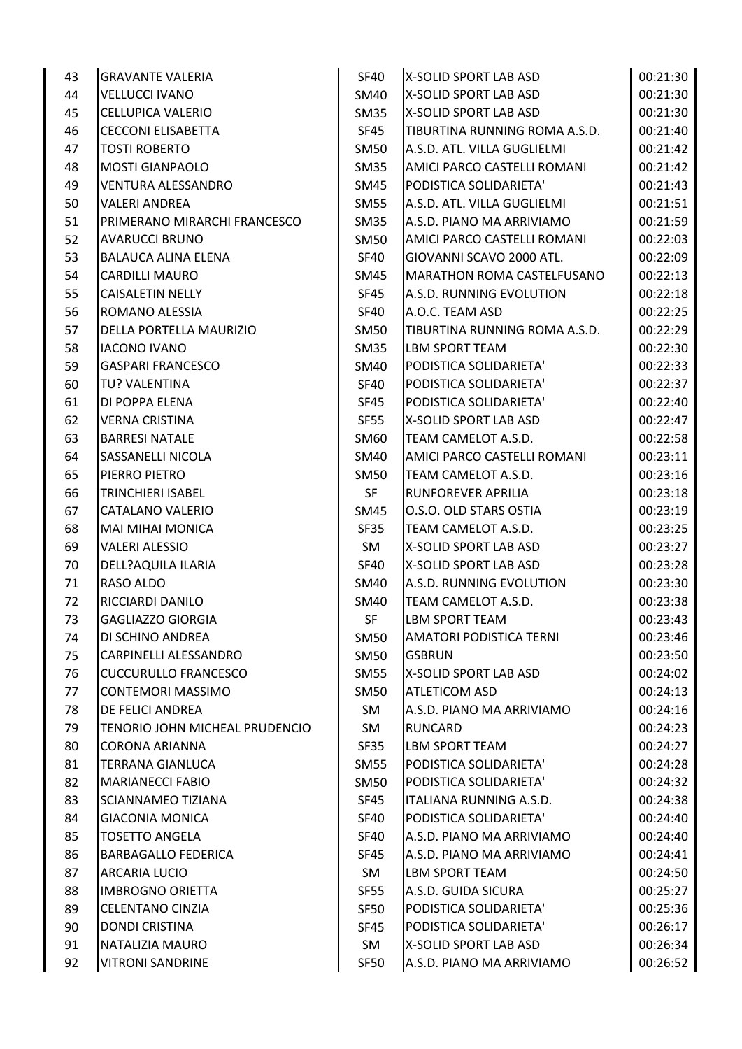| 43 | <b>GRAVANTE VALERIA</b>        | <b>SF40</b> | X-SOLID SPORT LAB ASD             | 00:21:30 |
|----|--------------------------------|-------------|-----------------------------------|----------|
| 44 | <b>VELLUCCI IVANO</b>          | SM40        | X-SOLID SPORT LAB ASD             | 00:21:30 |
| 45 | <b>CELLUPICA VALERIO</b>       | SM35        | X-SOLID SPORT LAB ASD             | 00:21:30 |
| 46 | <b>CECCONI ELISABETTA</b>      | SF45        | TIBURTINA RUNNING ROMA A.S.D.     | 00:21:40 |
| 47 | <b>TOSTI ROBERTO</b>           | <b>SM50</b> | A.S.D. ATL. VILLA GUGLIELMI       | 00:21:42 |
| 48 | <b>MOSTI GIANPAOLO</b>         | <b>SM35</b> | AMICI PARCO CASTELLI ROMANI       | 00:21:42 |
| 49 | <b>VENTURA ALESSANDRO</b>      | SM45        | PODISTICA SOLIDARIETA'            | 00:21:43 |
| 50 | <b>VALERI ANDREA</b>           | <b>SM55</b> | A.S.D. ATL. VILLA GUGLIELMI       | 00:21:51 |
| 51 | PRIMERANO MIRARCHI FRANCESCO   | SM35        | A.S.D. PIANO MA ARRIVIAMO         | 00:21:59 |
| 52 | <b>AVARUCCI BRUNO</b>          | SM50        | AMICI PARCO CASTELLI ROMANI       | 00:22:03 |
| 53 | BALAUCA ALINA ELENA            | <b>SF40</b> | GIOVANNI SCAVO 2000 ATL.          | 00:22:09 |
| 54 | CARDILLI MAURO                 | SM45        | <b>MARATHON ROMA CASTELFUSANO</b> | 00:22:13 |
| 55 | <b>CAISALETIN NELLY</b>        | <b>SF45</b> | A.S.D. RUNNING EVOLUTION          | 00:22:18 |
| 56 | ROMANO ALESSIA                 | <b>SF40</b> | A.O.C. TEAM ASD                   | 00:22:25 |
| 57 | DELLA PORTELLA MAURIZIO        | <b>SM50</b> | TIBURTINA RUNNING ROMA A.S.D.     | 00:22:29 |
| 58 | <b>IACONO IVANO</b>            | <b>SM35</b> | LBM SPORT TEAM                    | 00:22:30 |
| 59 | <b>GASPARI FRANCESCO</b>       | <b>SM40</b> | PODISTICA SOLIDARIETA'            | 00:22:33 |
| 60 | TU? VALENTINA                  | <b>SF40</b> | PODISTICA SOLIDARIETA'            | 00:22:37 |
| 61 | DI POPPA ELENA                 | SF45        | PODISTICA SOLIDARIETA'            | 00:22:40 |
| 62 | <b>VERNA CRISTINA</b>          | <b>SF55</b> | X-SOLID SPORT LAB ASD             | 00:22:47 |
| 63 | <b>BARRESI NATALE</b>          | SM60        | TEAM CAMELOT A.S.D.               | 00:22:58 |
| 64 | <b>SASSANELLI NICOLA</b>       | <b>SM40</b> | AMICI PARCO CASTELLI ROMANI       | 00:23:11 |
| 65 | PIERRO PIETRO                  | <b>SM50</b> | TEAM CAMELOT A.S.D.               | 00:23:16 |
| 66 | <b>TRINCHIERI ISABEL</b>       | <b>SF</b>   | <b>RUNFOREVER APRILIA</b>         | 00:23:18 |
| 67 | CATALANO VALERIO               | SM45        | O.S.O. OLD STARS OSTIA            | 00:23:19 |
| 68 | <b>MAI MIHAI MONICA</b>        | SF35        | TEAM CAMELOT A.S.D.               | 00:23:25 |
| 69 | <b>VALERI ALESSIO</b>          | SM          | X-SOLID SPORT LAB ASD             | 00:23:27 |
| 70 | DELL?AQUILA ILARIA             | <b>SF40</b> | X-SOLID SPORT LAB ASD             | 00:23:28 |
| 71 | RASO ALDO                      | SM40        | A.S.D. RUNNING EVOLUTION          | 00:23:30 |
| 72 | RICCIARDI DANILO               | SM40        | TEAM CAMELOT A.S.D.               | 00:23:38 |
| 73 | <b>GAGLIAZZO GIORGIA</b>       | <b>SF</b>   | <b>LBM SPORT TEAM</b>             | 00:23:43 |
| 74 | DI SCHINO ANDREA               | <b>SM50</b> | <b>AMATORI PODISTICA TERNI</b>    | 00:23:46 |
| 75 | CARPINELLI ALESSANDRO          | <b>SM50</b> | <b>GSBRUN</b>                     | 00:23:50 |
| 76 | <b>CUCCURULLO FRANCESCO</b>    | <b>SM55</b> | X-SOLID SPORT LAB ASD             | 00:24:02 |
| 77 | <b>CONTEMORI MASSIMO</b>       | <b>SM50</b> | <b>ATLETICOM ASD</b>              | 00:24:13 |
| 78 | DE FELICI ANDREA               | SM          | A.S.D. PIANO MA ARRIVIAMO         | 00:24:16 |
| 79 | TENORIO JOHN MICHEAL PRUDENCIO | SM          | RUNCARD                           | 00:24:23 |
| 80 | <b>CORONA ARIANNA</b>          | SF35        | <b>LBM SPORT TEAM</b>             | 00:24:27 |
| 81 | <b>TERRANA GIANLUCA</b>        | <b>SM55</b> | PODISTICA SOLIDARIETA'            | 00:24:28 |
| 82 | <b>MARIANECCI FABIO</b>        | SM50        | PODISTICA SOLIDARIETA'            | 00:24:32 |
| 83 | SCIANNAMEO TIZIANA             | SF45        | ITALIANA RUNNING A.S.D.           | 00:24:38 |
| 84 | <b>GIACONIA MONICA</b>         | SF40        | PODISTICA SOLIDARIETA'            | 00:24:40 |
| 85 | <b>TOSETTO ANGELA</b>          | SF40        | A.S.D. PIANO MA ARRIVIAMO         | 00:24:40 |
| 86 | <b>BARBAGALLO FEDERICA</b>     | <b>SF45</b> | A.S.D. PIANO MA ARRIVIAMO         | 00:24:41 |
| 87 | <b>ARCARIA LUCIO</b>           | SM          | LBM SPORT TEAM                    | 00:24:50 |
| 88 | <b>IMBROGNO ORIETTA</b>        | <b>SF55</b> | A.S.D. GUIDA SICURA               | 00:25:27 |
| 89 | <b>CELENTANO CINZIA</b>        | SF50        | PODISTICA SOLIDARIETA'            | 00:25:36 |
| 90 | <b>DONDI CRISTINA</b>          | SF45        | PODISTICA SOLIDARIETA'            | 00:26:17 |
| 91 | NATALIZIA MAURO                | SM          | X-SOLID SPORT LAB ASD             | 00:26:34 |
| 92 | <b>VITRONI SANDRINE</b>        | <b>SF50</b> | A.S.D. PIANO MA ARRIVIAMO         | 00:26:52 |